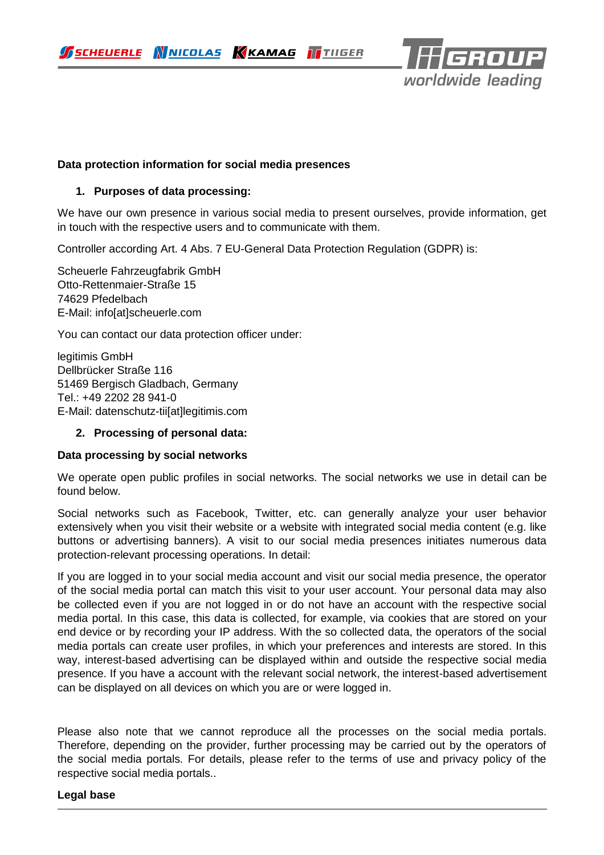SCHEUERLE WNICOLAS KKAMAG TTIIGER



## **Data protection information for social media presences**

#### **1. Purposes of data processing:**

We have our own presence in various social media to present ourselves, provide information, get in touch with the respective users and to communicate with them.

Controller according Art. 4 Abs. 7 EU-General Data Protection Regulation (GDPR) is:

Scheuerle Fahrzeugfabrik GmbH Otto-Rettenmaier-Straße 15 74629 Pfedelbach E-Mail: info[at]scheuerle.com

You can contact our data protection officer under:

legitimis GmbH Dellbrücker Straße 116 51469 Bergisch Gladbach, Germany Tel.: +49 2202 28 941-0 E-Mail: datenschutz-tii[at]legitimis.com

#### **2. Processing of personal data:**

#### **Data processing by social networks**

We operate open public profiles in social networks. The social networks we use in detail can be found below.

Social networks such as Facebook, Twitter, etc. can generally analyze your user behavior extensively when you visit their website or a website with integrated social media content (e.g. like buttons or advertising banners). A visit to our social media presences initiates numerous data protection-relevant processing operations. In detail:

If you are logged in to your social media account and visit our social media presence, the operator of the social media portal can match this visit to your user account. Your personal data may also be collected even if you are not logged in or do not have an account with the respective social media portal. In this case, this data is collected, for example, via cookies that are stored on your end device or by recording your IP address. With the so collected data, the operators of the social media portals can create user profiles, in which your preferences and interests are stored. In this way, interest-based advertising can be displayed within and outside the respective social media presence. If you have a account with the relevant social network, the interest-based advertisement can be displayed on all devices on which you are or were logged in.

Please also note that we cannot reproduce all the processes on the social media portals. Therefore, depending on the provider, further processing may be carried out by the operators of the social media portals. For details, please refer to the terms of use and privacy policy of the respective social media portals..

#### **Legal base**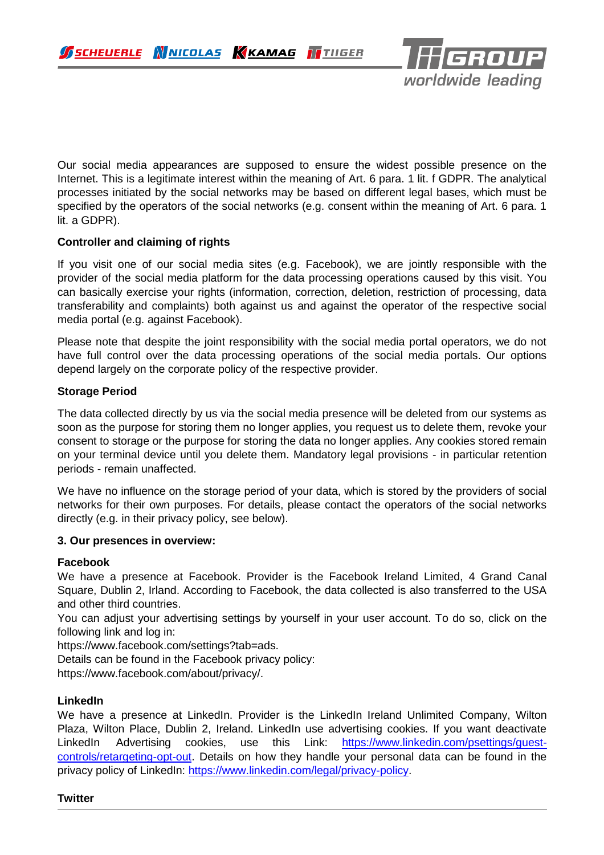

Our social media appearances are supposed to ensure the widest possible presence on the Internet. This is a legitimate interest within the meaning of Art. 6 para. 1 lit. f GDPR. The analytical processes initiated by the social networks may be based on different legal bases, which must be specified by the operators of the social networks (e.g. consent within the meaning of Art. 6 para. 1 lit. a GDPR).

# **Controller and claiming of rights**

If you visit one of our social media sites (e.g. Facebook), we are jointly responsible with the provider of the social media platform for the data processing operations caused by this visit. You can basically exercise your rights (information, correction, deletion, restriction of processing, data transferability and complaints) both against us and against the operator of the respective social media portal (e.g. against Facebook).

Please note that despite the joint responsibility with the social media portal operators, we do not have full control over the data processing operations of the social media portals. Our options depend largely on the corporate policy of the respective provider.

## **Storage Period**

The data collected directly by us via the social media presence will be deleted from our systems as soon as the purpose for storing them no longer applies, you request us to delete them, revoke your consent to storage or the purpose for storing the data no longer applies. Any cookies stored remain on your terminal device until you delete them. Mandatory legal provisions - in particular retention periods - remain unaffected.

We have no influence on the storage period of your data, which is stored by the providers of social networks for their own purposes. For details, please contact the operators of the social networks directly (e.g. in their privacy policy, see below).

#### **3. Our presences in overview:**

## **Facebook**

We have a presence at Facebook. Provider is the Facebook Ireland Limited, 4 Grand Canal Square, Dublin 2, Irland. According to Facebook, the data collected is also transferred to the USA and other third countries.

You can adjust your advertising settings by yourself in your user account. To do so, click on the following link and log in:

https://www.facebook.com/settings?tab=ads.

Details can be found in the Facebook privacy policy:

https://www.facebook.com/about/privacy/.

## **LinkedIn**

We have a presence at LinkedIn. Provider is the LinkedIn Ireland Unlimited Company, Wilton Plaza, Wilton Place, Dublin 2, Ireland. LinkedIn use advertising cookies. If you want deactivate LinkedIn Advertising cookies, use this Link: [https://www.linkedin.com/psettings/guest](https://www.linkedin.com/psettings/guest-controls/retargeting-opt-out)[controls/retargeting-opt-out.](https://www.linkedin.com/psettings/guest-controls/retargeting-opt-out) Details on how they handle your personal data can be found in the privacy policy of LinkedIn: [https://www.linkedin.com/legal/privacy-policy.](https://www.linkedin.com/legal/privacy-policy)

#### **Twitter**